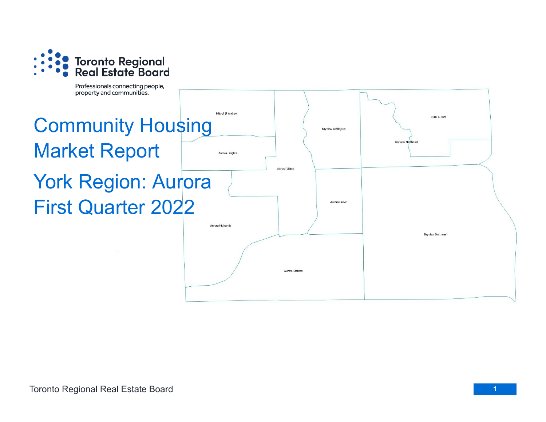

Professionals connecting people, property and communities.

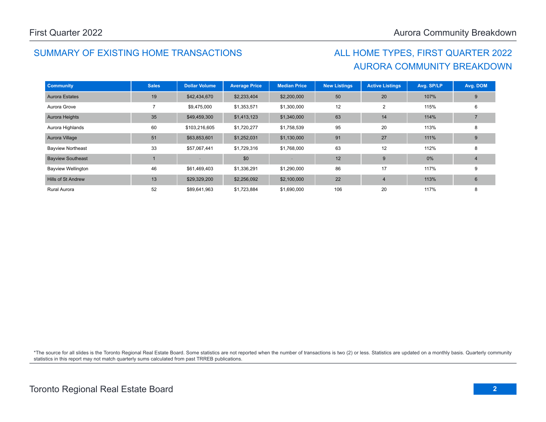## SUMMARY OF EXISTING HOME TRANSACTIONS ALL HOME TYPES, FIRST QUARTER 2022

# AURORA COMMUNITY BREAKDOWN

| <b>Community</b>          | <b>Sales</b> | <b>Dollar Volume</b> | <b>Average Price</b> | <b>Median Price</b> | <b>New Listings</b> | <b>Active Listings</b> | Avg. SP/LP | Avg. DOM |
|---------------------------|--------------|----------------------|----------------------|---------------------|---------------------|------------------------|------------|----------|
| <b>Aurora Estates</b>     | 19           | \$42,434,670         | \$2,233,404          | \$2,200,000         | 50                  | 20                     | 107%       | 9        |
| Aurora Grove              |              | \$9,475,000          | \$1,353,571          | \$1,300,000         | 12                  | $\overline{2}$         | 115%       | 6        |
| Aurora Heights            | 35           | \$49,459,300         | \$1,413,123          | \$1,340,000         | 63                  | 14                     | 114%       |          |
| Aurora Highlands          | 60           | \$103,216,605        | \$1,720,277          | \$1,758,539         | 95                  | 20                     | 113%       | 8        |
| Aurora Village            | 51           | \$63,853,601         | \$1,252,031          | \$1,130,000         | 91                  | 27                     | 111%       | 9        |
| <b>Bayview Northeast</b>  | 33           | \$57,067,441         | \$1,729,316          | \$1,768,000         | 63                  | 12                     | 112%       | 8        |
| <b>Bayview Southeast</b>  |              |                      | \$0                  |                     | 12                  | 9                      | 0%         | 4        |
| <b>Bayview Wellington</b> | 46           | \$61,469,403         | \$1,336,291          | \$1,290,000         | 86                  | 17                     | 117%       | 9        |
| Hills of St Andrew        | 13           | \$29,329,200         | \$2,256,092          | \$2,100,000         | 22                  | $\overline{4}$         | 113%       | 6        |
| Rural Aurora              | 52           | \$89,641,963         | \$1,723,884          | \$1,690,000         | 106                 | 20                     | 117%       | 8        |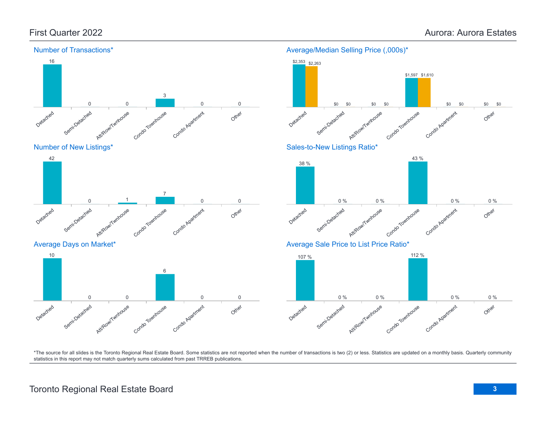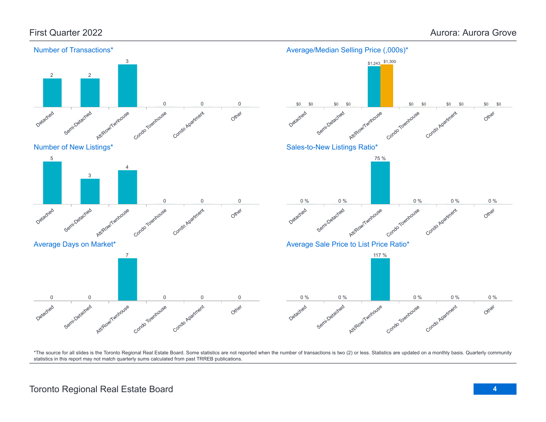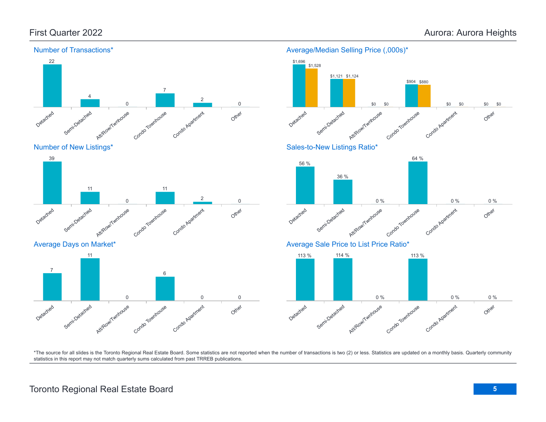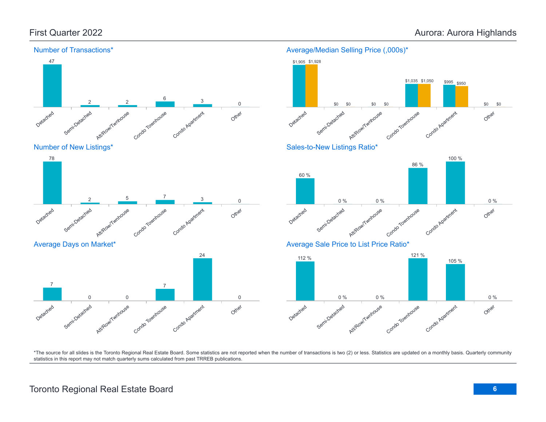

### Average/Median Selling Price (,000s)\*

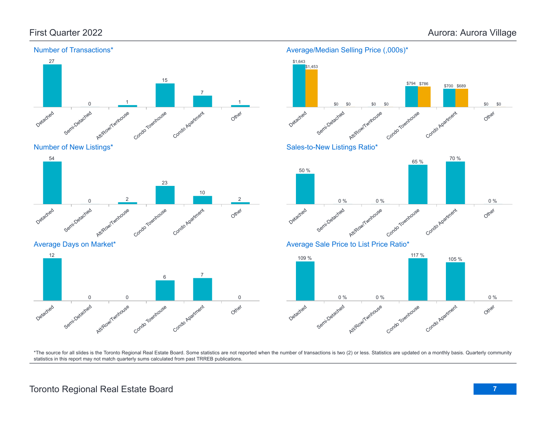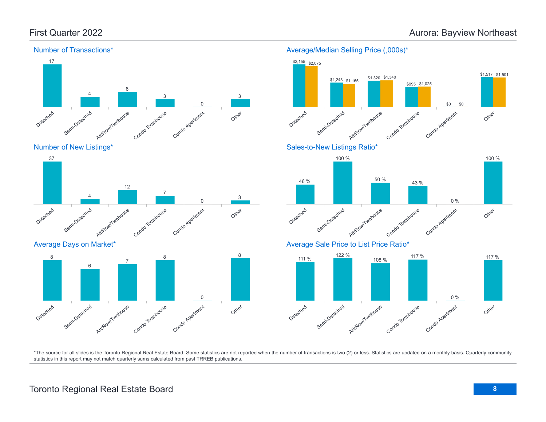

Number of New Listings\*



Average Days on Market\*







\*The source for all slides is the Toronto Regional Real Estate Board. Some statistics are not reported when the number of transactions is two (2) or less. Statistics are updated on a monthly basis. Quarterly community statistics in this report may not match quarterly sums calculated from past TRREB publications.

# Toronto Regional Real Estate Board **8**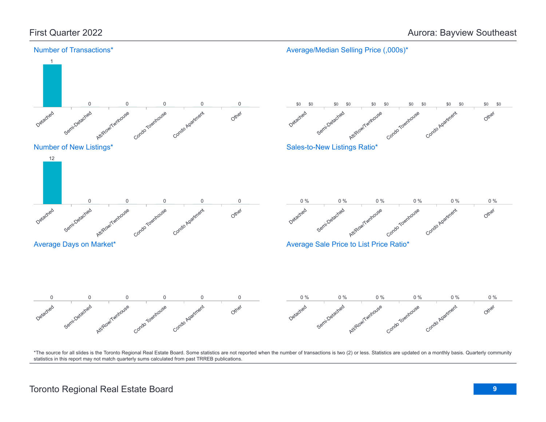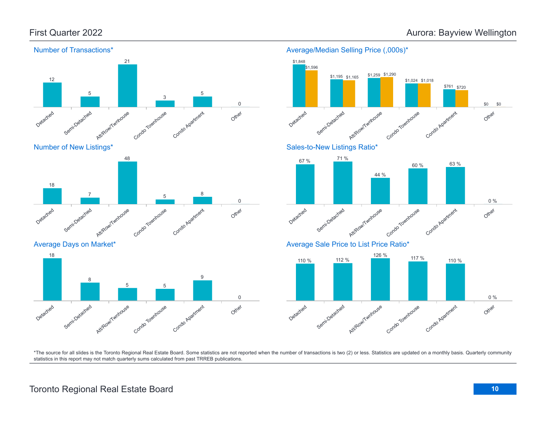

#### Average/Median Selling Price (,000s)\*



Detached Semi-Detached Attikow/Twnhouse Condo Townhouse Condo Agatment Other 0 %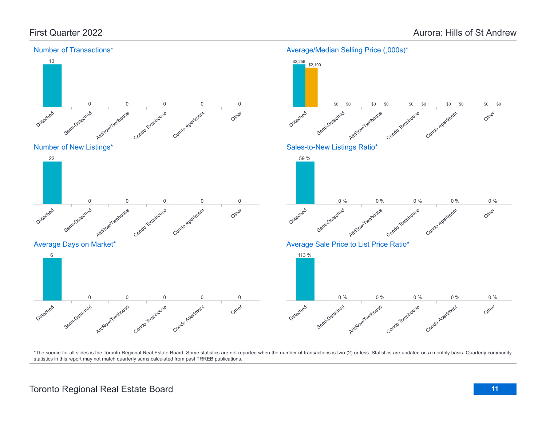